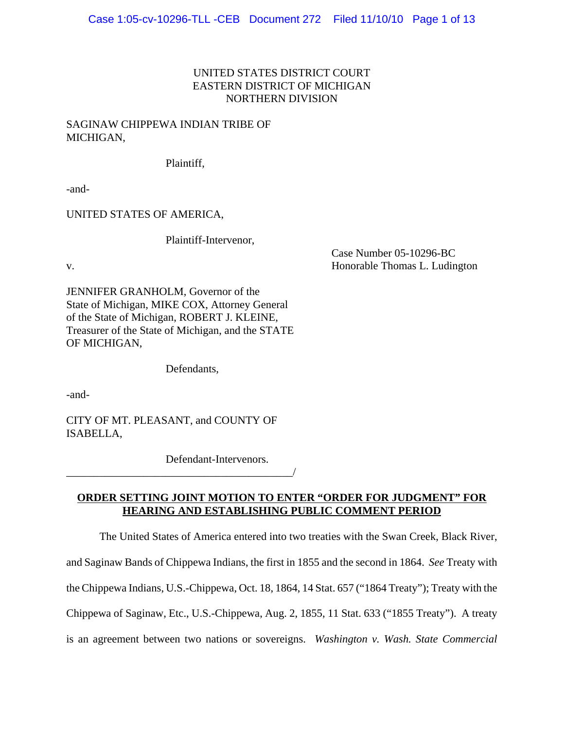## UNITED STATES DISTRICT COURT EASTERN DISTRICT OF MICHIGAN NORTHERN DIVISION

### SAGINAW CHIPPEWA INDIAN TRIBE OF MICHIGAN,

Plaintiff,

-and-

UNITED STATES OF AMERICA,

Plaintiff-Intervenor,

Case Number 05-10296-BC v. **Example 2018** Separate Thomas L. Ludington **Honorable Thomas L. Ludington** 

JENNIFER GRANHOLM, Governor of the State of Michigan, MIKE COX, Attorney General of the State of Michigan, ROBERT J. KLEINE, Treasurer of the State of Michigan, and the STATE OF MICHIGAN,

Defendants,

-and-

CITY OF MT. PLEASANT, and COUNTY OF ISABELLA,

\_\_\_\_\_\_\_\_\_\_\_\_\_\_\_\_\_\_\_\_\_\_\_\_\_\_\_\_\_\_\_\_\_\_\_\_\_\_\_\_\_/

Defendant-Intervenors.

## **ORDER SETTING JOINT MOTION TO ENTER "ORDER FOR JUDGMENT" FOR HEARING AND ESTABLISHING PUBLIC COMMENT PERIOD**

The United States of America entered into two treaties with the Swan Creek, Black River, and Saginaw Bands of Chippewa Indians, the first in 1855 and the second in 1864. *See* Treaty with the Chippewa Indians, U.S.-Chippewa, Oct. 18, 1864, 14 Stat. 657 ("1864 Treaty"); Treaty with the Chippewa of Saginaw, Etc., U.S.-Chippewa, Aug. 2, 1855, 11 Stat. 633 ("1855 Treaty"). A treaty is an agreement between two nations or sovereigns. *Washington v. Wash. State Commercial*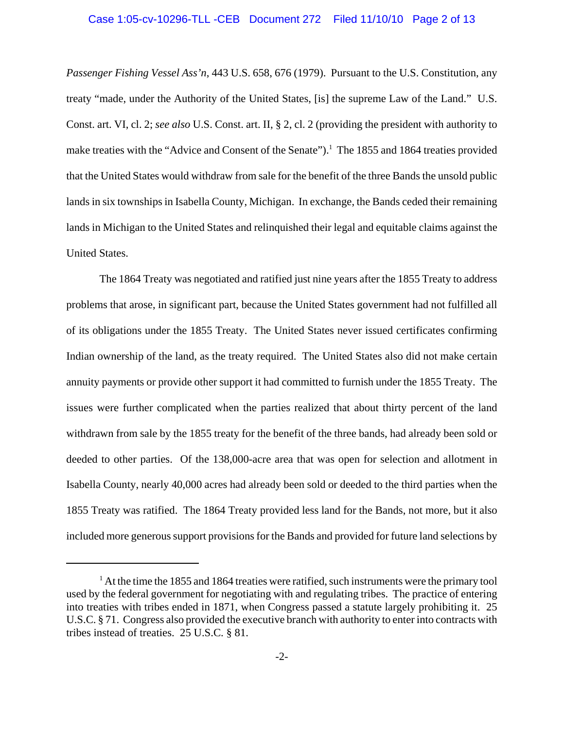#### Case 1:05-cv-10296-TLL -CEB Document 272 Filed 11/10/10 Page 2 of 13

*Passenger Fishing Vessel Ass'n*, 443 U.S. 658, 676 (1979). Pursuant to the U.S. Constitution, any treaty "made, under the Authority of the United States, [is] the supreme Law of the Land." U.S. Const. art. VI, cl. 2; *see also* U.S. Const. art. II, § 2, cl. 2 (providing the president with authority to make treaties with the "Advice and Consent of the Senate").<sup>1</sup> The 1855 and 1864 treaties provided that the United States would withdraw from sale for the benefit of the three Bands the unsold public lands in six townships in Isabella County, Michigan. In exchange, the Bands ceded their remaining lands in Michigan to the United States and relinquished their legal and equitable claims against the United States.

The 1864 Treaty was negotiated and ratified just nine years after the 1855 Treaty to address problems that arose, in significant part, because the United States government had not fulfilled all of its obligations under the 1855 Treaty. The United States never issued certificates confirming Indian ownership of the land, as the treaty required. The United States also did not make certain annuity payments or provide other support it had committed to furnish under the 1855 Treaty. The issues were further complicated when the parties realized that about thirty percent of the land withdrawn from sale by the 1855 treaty for the benefit of the three bands, had already been sold or deeded to other parties. Of the 138,000-acre area that was open for selection and allotment in Isabella County, nearly 40,000 acres had already been sold or deeded to the third parties when the 1855 Treaty was ratified. The 1864 Treaty provided less land for the Bands, not more, but it also included more generous support provisions for the Bands and provided for future land selections by

 $<sup>1</sup>$  At the time the 1855 and 1864 treaties were ratified, such instruments were the primary tool</sup> used by the federal government for negotiating with and regulating tribes. The practice of entering into treaties with tribes ended in 1871, when Congress passed a statute largely prohibiting it. 25 U.S.C. § 71. Congress also provided the executive branch with authority to enter into contracts with tribes instead of treaties. 25 U.S.C. § 81.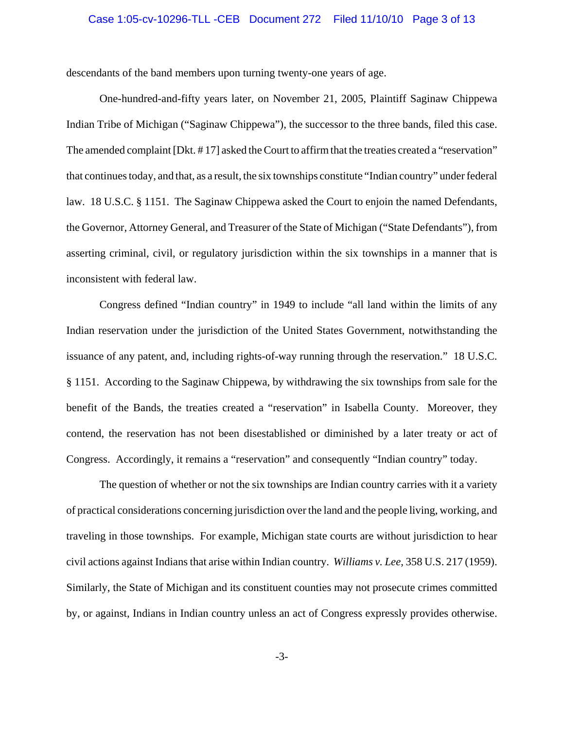#### Case 1:05-cv-10296-TLL -CEB Document 272 Filed 11/10/10 Page 3 of 13

descendants of the band members upon turning twenty-one years of age.

One-hundred-and-fifty years later, on November 21, 2005, Plaintiff Saginaw Chippewa Indian Tribe of Michigan ("Saginaw Chippewa"), the successor to the three bands, filed this case. The amended complaint [Dkt. # 17] asked the Court to affirm that the treaties created a "reservation" that continues today, and that, as a result, the six townships constitute "Indian country" under federal law. 18 U.S.C. § 1151. The Saginaw Chippewa asked the Court to enjoin the named Defendants, the Governor, Attorney General, and Treasurer of the State of Michigan ("State Defendants"), from asserting criminal, civil, or regulatory jurisdiction within the six townships in a manner that is inconsistent with federal law.

Congress defined "Indian country" in 1949 to include "all land within the limits of any Indian reservation under the jurisdiction of the United States Government, notwithstanding the issuance of any patent, and, including rights-of-way running through the reservation." 18 U.S.C. § 1151. According to the Saginaw Chippewa, by withdrawing the six townships from sale for the benefit of the Bands, the treaties created a "reservation" in Isabella County. Moreover, they contend, the reservation has not been disestablished or diminished by a later treaty or act of Congress. Accordingly, it remains a "reservation" and consequently "Indian country" today.

The question of whether or not the six townships are Indian country carries with it a variety of practical considerations concerning jurisdiction over the land and the people living, working, and traveling in those townships. For example, Michigan state courts are without jurisdiction to hear civil actions against Indians that arise within Indian country. *Williams v. Lee*, 358 U.S. 217 (1959). Similarly, the State of Michigan and its constituent counties may not prosecute crimes committed by, or against, Indians in Indian country unless an act of Congress expressly provides otherwise.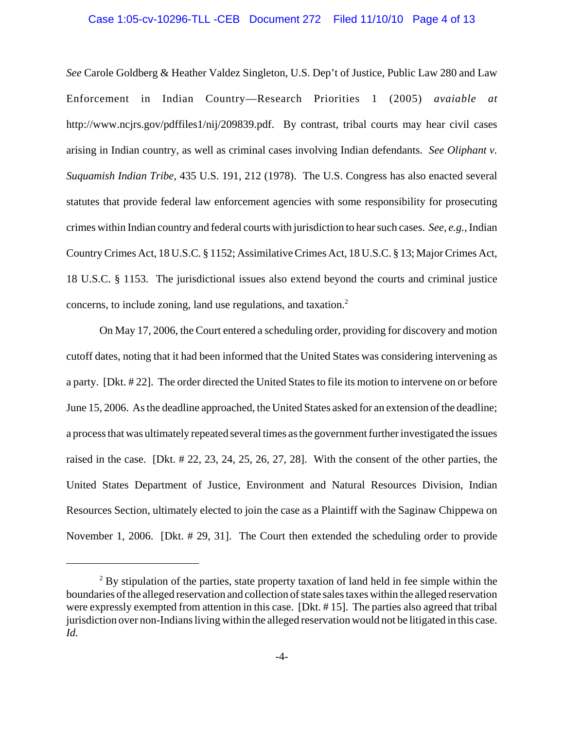#### Case 1:05-cv-10296-TLL -CEB Document 272 Filed 11/10/10 Page 4 of 13

*See* Carole Goldberg & Heather Valdez Singleton, U.S. Dep't of Justice, Public Law 280 and Law Enforcement in Indian Country—Research Priorities 1 (2005) *avaiable at* http://www.ncjrs.gov/pdffiles1/nij/209839.pdf. By contrast, tribal courts may hear civil cases arising in Indian country, as well as criminal cases involving Indian defendants. *See Oliphant v. Suquamish Indian Tribe*, 435 U.S. 191, 212 (1978). The U.S. Congress has also enacted several statutes that provide federal law enforcement agencies with some responsibility for prosecuting crimes within Indian country and federal courts with jurisdiction to hear such cases. *See, e.g.*, Indian Country Crimes Act, 18 U.S.C. § 1152; Assimilative Crimes Act, 18 U.S.C. § 13; Major Crimes Act, 18 U.S.C. § 1153. The jurisdictional issues also extend beyond the courts and criminal justice concerns, to include zoning, land use regulations, and taxation.<sup>2</sup>

On May 17, 2006, the Court entered a scheduling order, providing for discovery and motion cutoff dates, noting that it had been informed that the United States was considering intervening as a party. [Dkt. # 22]. The order directed the United States to file its motion to intervene on or before June 15, 2006. As the deadline approached, the United States asked for an extension of the deadline; a process that was ultimately repeated several times as the government further investigated the issues raised in the case. [Dkt. # 22, 23, 24, 25, 26, 27, 28]. With the consent of the other parties, the United States Department of Justice, Environment and Natural Resources Division, Indian Resources Section, ultimately elected to join the case as a Plaintiff with the Saginaw Chippewa on November 1, 2006. [Dkt. # 29, 31]. The Court then extended the scheduling order to provide

 $2^2$  By stipulation of the parties, state property taxation of land held in fee simple within the boundaries of the alleged reservation and collection of state sales taxes within the alleged reservation were expressly exempted from attention in this case. [Dkt. # 15]. The parties also agreed that tribal jurisdiction over non-Indians living within the alleged reservation would not be litigated in this case. *Id.*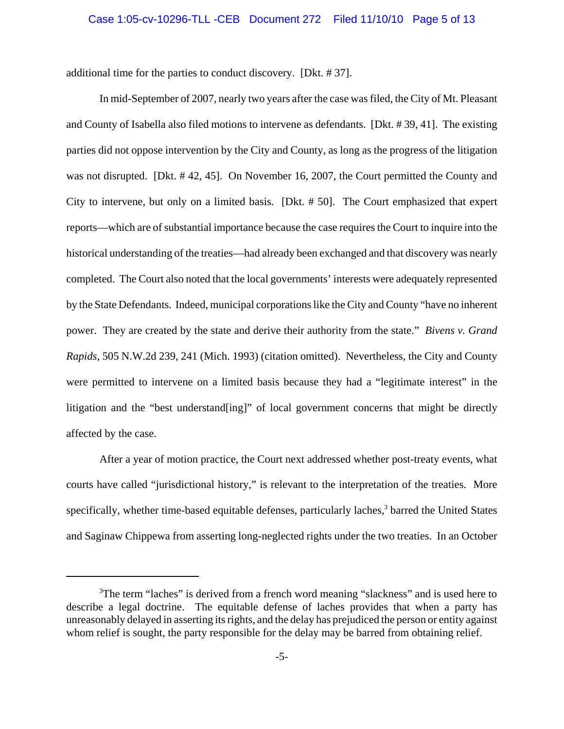#### Case 1:05-cv-10296-TLL -CEB Document 272 Filed 11/10/10 Page 5 of 13

additional time for the parties to conduct discovery. [Dkt. # 37].

In mid-September of 2007, nearly two years after the case was filed, the City of Mt. Pleasant and County of Isabella also filed motions to intervene as defendants. [Dkt. # 39, 41]. The existing parties did not oppose intervention by the City and County, as long as the progress of the litigation was not disrupted. [Dkt. # 42, 45]. On November 16, 2007, the Court permitted the County and City to intervene, but only on a limited basis. [Dkt. # 50]. The Court emphasized that expert reports—which are of substantial importance because the case requires the Court to inquire into the historical understanding of the treaties—had already been exchanged and that discovery was nearly completed. The Court also noted that the local governments' interests were adequately represented by the State Defendants. Indeed, municipal corporations like the City and County "have no inherent power. They are created by the state and derive their authority from the state." *Bivens v. Grand Rapids*, 505 N.W.2d 239, 241 (Mich. 1993) (citation omitted). Nevertheless, the City and County were permitted to intervene on a limited basis because they had a "legitimate interest" in the litigation and the "best understand[ing]" of local government concerns that might be directly affected by the case.

After a year of motion practice, the Court next addressed whether post-treaty events, what courts have called "jurisdictional history," is relevant to the interpretation of the treaties. More specifically, whether time-based equitable defenses, particularly laches,<sup>3</sup> barred the United States and Saginaw Chippewa from asserting long-neglected rights under the two treaties. In an October

<sup>&</sup>lt;sup>3</sup>The term "laches" is derived from a french word meaning "slackness" and is used here to describe a legal doctrine. The equitable defense of laches provides that when a party has unreasonably delayed in asserting its rights, and the delay has prejudiced the person or entity against whom relief is sought, the party responsible for the delay may be barred from obtaining relief.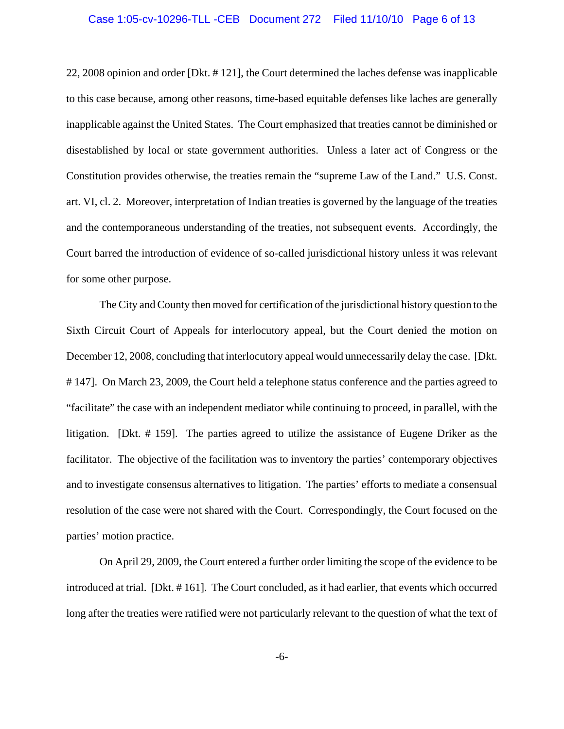#### Case 1:05-cv-10296-TLL -CEB Document 272 Filed 11/10/10 Page 6 of 13

22, 2008 opinion and order [Dkt. # 121], the Court determined the laches defense was inapplicable to this case because, among other reasons, time-based equitable defenses like laches are generally inapplicable against the United States. The Court emphasized that treaties cannot be diminished or disestablished by local or state government authorities. Unless a later act of Congress or the Constitution provides otherwise, the treaties remain the "supreme Law of the Land." U.S. Const. art. VI, cl. 2. Moreover, interpretation of Indian treaties is governed by the language of the treaties and the contemporaneous understanding of the treaties, not subsequent events. Accordingly, the Court barred the introduction of evidence of so-called jurisdictional history unless it was relevant for some other purpose.

The City and County then moved for certification of the jurisdictional history question to the Sixth Circuit Court of Appeals for interlocutory appeal, but the Court denied the motion on December 12, 2008, concluding that interlocutory appeal would unnecessarily delay the case. [Dkt. # 147]. On March 23, 2009, the Court held a telephone status conference and the parties agreed to "facilitate" the case with an independent mediator while continuing to proceed, in parallel, with the litigation. [Dkt. # 159]. The parties agreed to utilize the assistance of Eugene Driker as the facilitator. The objective of the facilitation was to inventory the parties' contemporary objectives and to investigate consensus alternatives to litigation. The parties' efforts to mediate a consensual resolution of the case were not shared with the Court. Correspondingly, the Court focused on the parties' motion practice.

On April 29, 2009, the Court entered a further order limiting the scope of the evidence to be introduced at trial. [Dkt. # 161]. The Court concluded, as it had earlier, that events which occurred long after the treaties were ratified were not particularly relevant to the question of what the text of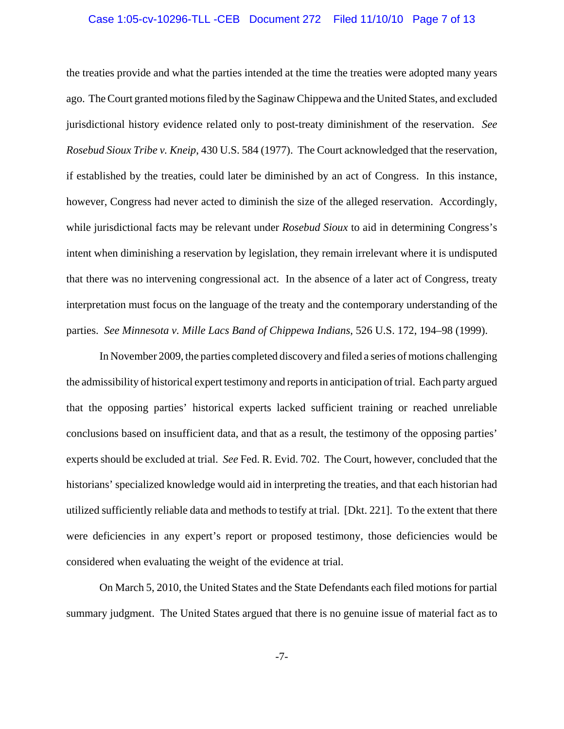#### Case 1:05-cv-10296-TLL -CEB Document 272 Filed 11/10/10 Page 7 of 13

the treaties provide and what the parties intended at the time the treaties were adopted many years ago. The Court granted motions filed by the Saginaw Chippewa and the United States, and excluded jurisdictional history evidence related only to post-treaty diminishment of the reservation. *See Rosebud Sioux Tribe v. Kneip*, 430 U.S. 584 (1977). The Court acknowledged that the reservation, if established by the treaties, could later be diminished by an act of Congress. In this instance, however, Congress had never acted to diminish the size of the alleged reservation. Accordingly, while jurisdictional facts may be relevant under *Rosebud Sioux* to aid in determining Congress's intent when diminishing a reservation by legislation, they remain irrelevant where it is undisputed that there was no intervening congressional act. In the absence of a later act of Congress, treaty interpretation must focus on the language of the treaty and the contemporary understanding of the parties. *See Minnesota v. Mille Lacs Band of Chippewa Indians*, 526 U.S. 172, 194–98 (1999).

In November 2009, the parties completed discovery and filed a series of motions challenging the admissibility of historical expert testimony and reports in anticipation of trial. Each party argued that the opposing parties' historical experts lacked sufficient training or reached unreliable conclusions based on insufficient data, and that as a result, the testimony of the opposing parties' experts should be excluded at trial. *See* Fed. R. Evid. 702. The Court, however, concluded that the historians' specialized knowledge would aid in interpreting the treaties, and that each historian had utilized sufficiently reliable data and methods to testify at trial. [Dkt. 221]. To the extent that there were deficiencies in any expert's report or proposed testimony, those deficiencies would be considered when evaluating the weight of the evidence at trial.

On March 5, 2010, the United States and the State Defendants each filed motions for partial summary judgment. The United States argued that there is no genuine issue of material fact as to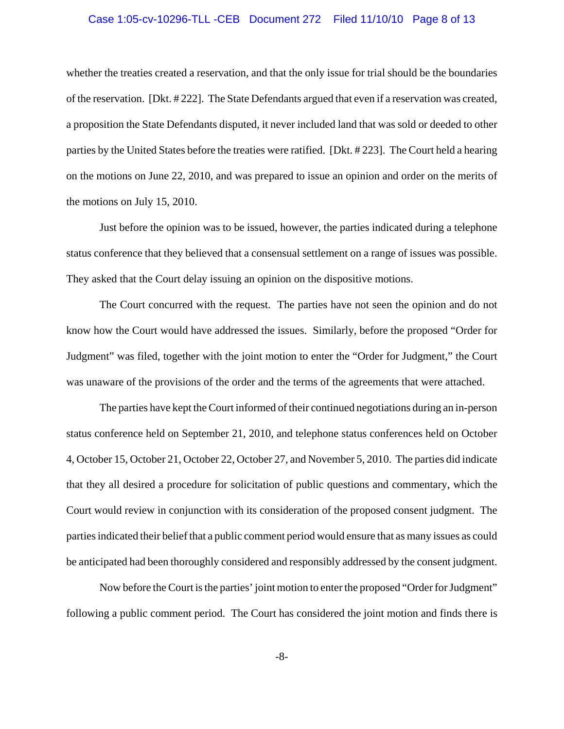#### Case 1:05-cv-10296-TLL -CEB Document 272 Filed 11/10/10 Page 8 of 13

whether the treaties created a reservation, and that the only issue for trial should be the boundaries of the reservation. [Dkt. # 222]. The State Defendants argued that even if a reservation was created, a proposition the State Defendants disputed, it never included land that was sold or deeded to other parties by the United States before the treaties were ratified. [Dkt. # 223]. The Court held a hearing on the motions on June 22, 2010, and was prepared to issue an opinion and order on the merits of the motions on July 15, 2010.

Just before the opinion was to be issued, however, the parties indicated during a telephone status conference that they believed that a consensual settlement on a range of issues was possible. They asked that the Court delay issuing an opinion on the dispositive motions.

The Court concurred with the request. The parties have not seen the opinion and do not know how the Court would have addressed the issues. Similarly, before the proposed "Order for Judgment" was filed, together with the joint motion to enter the "Order for Judgment," the Court was unaware of the provisions of the order and the terms of the agreements that were attached.

The parties have kept the Court informed of their continued negotiations during an in-person status conference held on September 21, 2010, and telephone status conferences held on October 4, October 15, October 21, October 22, October 27, and November 5, 2010. The parties did indicate that they all desired a procedure for solicitation of public questions and commentary, which the Court would review in conjunction with its consideration of the proposed consent judgment. The parties indicated their belief that a public comment period would ensure that as many issues as could be anticipated had been thoroughly considered and responsibly addressed by the consent judgment.

Now before the Court is the parties' joint motion to enter the proposed "Order for Judgment" following a public comment period. The Court has considered the joint motion and finds there is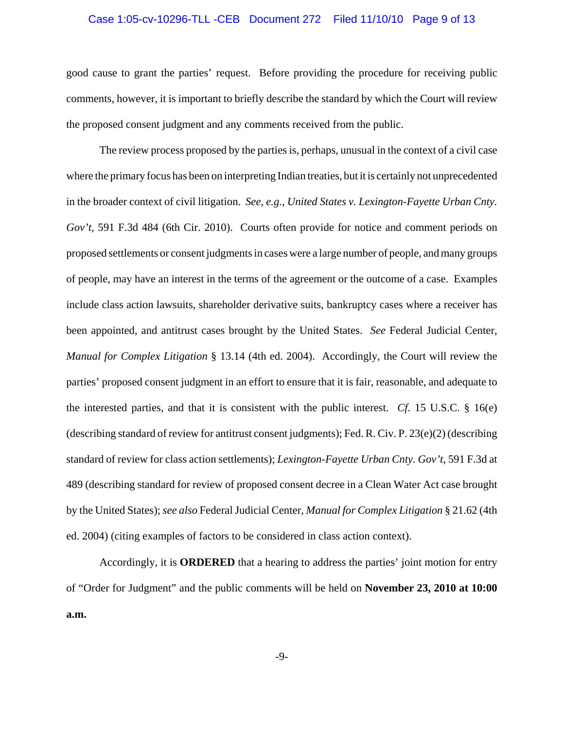#### Case 1:05-cv-10296-TLL -CEB Document 272 Filed 11/10/10 Page 9 of 13

good cause to grant the parties' request. Before providing the procedure for receiving public comments, however, it is important to briefly describe the standard by which the Court will review the proposed consent judgment and any comments received from the public.

The review process proposed by the parties is, perhaps, unusual in the context of a civil case where the primary focus has been on interpreting Indian treaties, but it is certainly not unprecedented in the broader context of civil litigation. *See, e.g.*, *United States v. Lexington-Fayette Urban Cnty. Gov't*, 591 F.3d 484 (6th Cir. 2010). Courts often provide for notice and comment periods on proposed settlements or consent judgments in cases were a large number of people, and many groups of people, may have an interest in the terms of the agreement or the outcome of a case. Examples include class action lawsuits, shareholder derivative suits, bankruptcy cases where a receiver has been appointed, and antitrust cases brought by the United States. *See* Federal Judicial Center, *Manual for Complex Litigation* § 13.14 (4th ed. 2004). Accordingly, the Court will review the parties' proposed consent judgment in an effort to ensure that it is fair, reasonable, and adequate to the interested parties, and that it is consistent with the public interest. *Cf.* 15 U.S.C. § 16(e) (describing standard of review for antitrust consent judgments); Fed. R. Civ. P. 23(e)(2) (describing standard of review for class action settlements); *Lexington-Fayette Urban Cnty. Gov't*, 591 F.3d at 489 (describing standard for review of proposed consent decree in a Clean Water Act case brought by the United States); *see also* Federal Judicial Center, *Manual for Complex Litigation* § 21.62 (4th ed. 2004) (citing examples of factors to be considered in class action context).

Accordingly, it is **ORDERED** that a hearing to address the parties' joint motion for entry of "Order for Judgment" and the public comments will be held on **November 23, 2010 at 10:00 a.m.**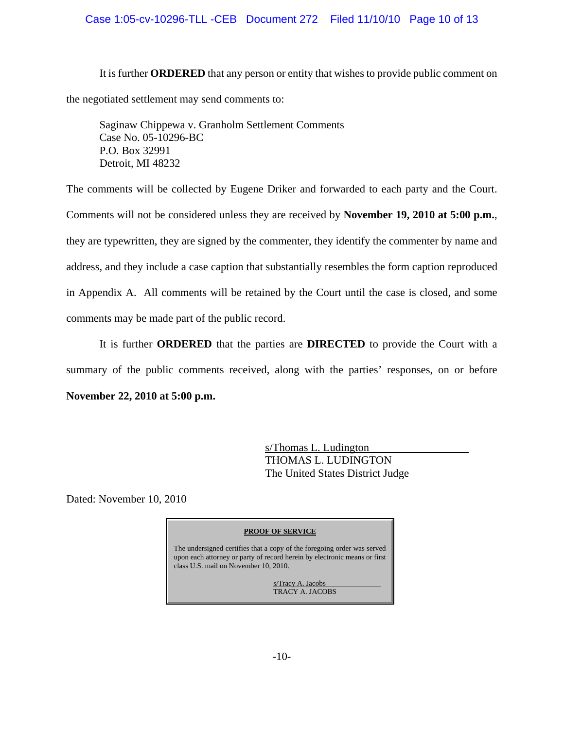## Case 1:05-cv-10296-TLL -CEB Document 272 Filed 11/10/10 Page 10 of 13

It is further **ORDERED** that any person or entity that wishes to provide public comment on the negotiated settlement may send comments to:

Saginaw Chippewa v. Granholm Settlement Comments Case No. 05-10296-BC P.O. Box 32991 Detroit, MI 48232

The comments will be collected by Eugene Driker and forwarded to each party and the Court. Comments will not be considered unless they are received by **November 19, 2010 at 5:00 p.m.**, they are typewritten, they are signed by the commenter, they identify the commenter by name and address, and they include a case caption that substantially resembles the form caption reproduced in Appendix A. All comments will be retained by the Court until the case is closed, and some comments may be made part of the public record.

It is further **ORDERED** that the parties are **DIRECTED** to provide the Court with a summary of the public comments received, along with the parties' responses, on or before **November 22, 2010 at 5:00 p.m.**

> s/Thomas L. Ludington THOMAS L. LUDINGTON The United States District Judge

Dated: November 10, 2010

#### **PROOF OF SERVICE**

The undersigned certifies that a copy of the foregoing order was served upon each attorney or party of record herein by electronic means or first class U.S. mail on November 10, 2010.

> s/Tracy A. Jacobs TRACY A. JACOBS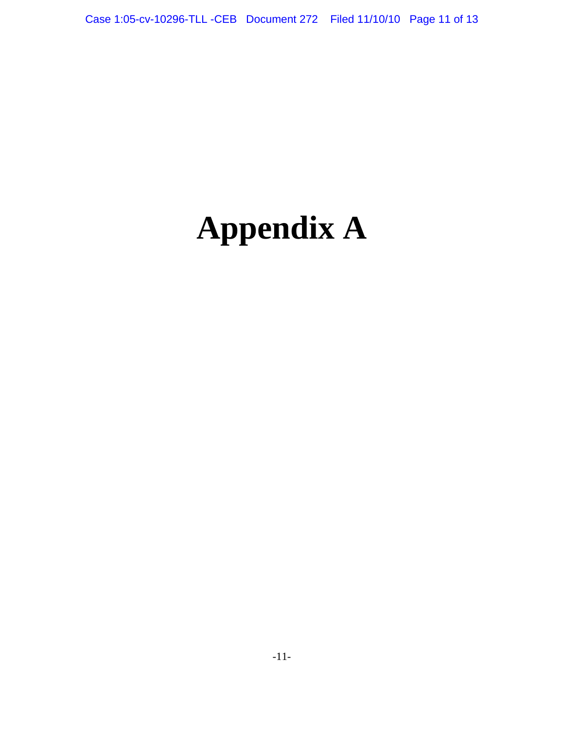# **Appendix A**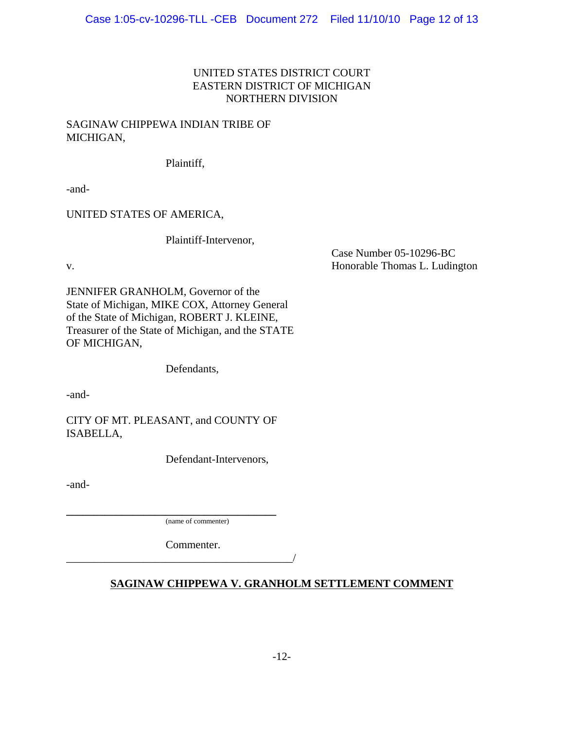## UNITED STATES DISTRICT COURT EASTERN DISTRICT OF MICHIGAN NORTHERN DIVISION

## SAGINAW CHIPPEWA INDIAN TRIBE OF MICHIGAN,

Plaintiff,

-and-

UNITED STATES OF AMERICA,

Plaintiff-Intervenor,

Case Number 05-10296-BC v. Honorable Thomas L. Ludington

JENNIFER GRANHOLM, Governor of the State of Michigan, MIKE COX, Attorney General of the State of Michigan, ROBERT J. KLEINE, Treasurer of the State of Michigan, and the STATE OF MICHIGAN,

Defendants,

-and-

CITY OF MT. PLEASANT, and COUNTY OF ISABELLA,

Defendant-Intervenors,

-and-

**\_\_\_\_\_\_\_\_\_\_\_\_\_\_\_\_\_\_\_\_\_\_\_\_\_\_\_\_\_\_\_\_\_\_\_\_\_\_** (name of commenter)

Commenter.

\_\_\_\_\_\_\_\_\_\_\_\_\_\_\_\_\_\_\_\_\_\_\_\_\_\_\_\_\_\_\_\_\_\_\_\_\_\_\_\_\_/

## **SAGINAW CHIPPEWA V. GRANHOLM SETTLEMENT COMMENT**